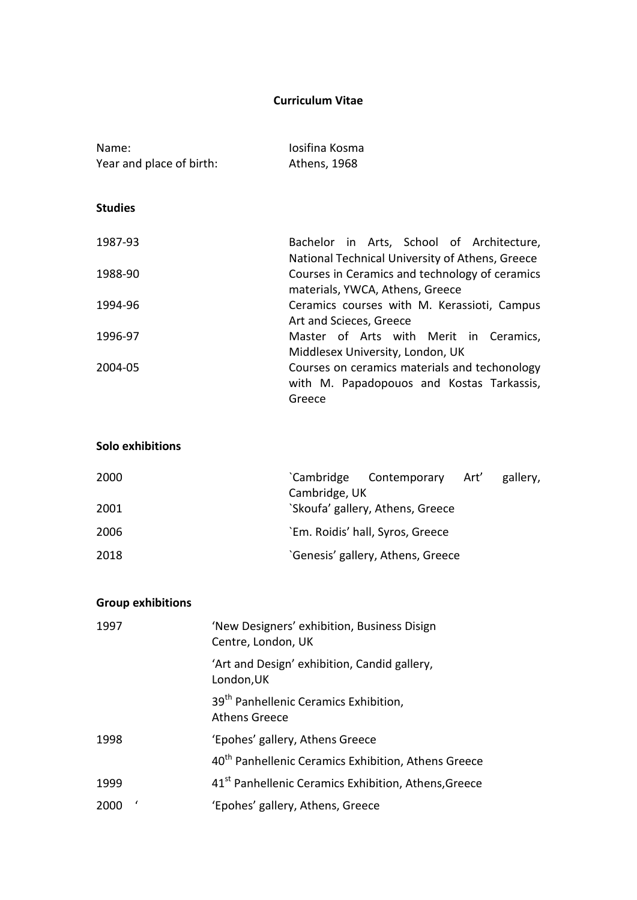### **Curriculum Vitae**

| Name:                    | Josifina Kosma                                                                                       |
|--------------------------|------------------------------------------------------------------------------------------------------|
| Year and place of birth: | Athens, 1968                                                                                         |
| <b>Studies</b>           |                                                                                                      |
| 1987-93                  | Bachelor in Arts, School of Architecture,<br>National Technical University of Athens, Greece         |
| 1988-90                  | Courses in Ceramics and technology of ceramics<br>materials, YWCA, Athens, Greece                    |
| 1994-96                  | Ceramics courses with M. Kerassioti, Campus<br>Art and Scieces, Greece                               |
| 1996-97                  | Master of Arts with Merit in Ceramics,<br>Middlesex University, London, UK                           |
| 2004-05                  | Courses on ceramics materials and techonology<br>with M. Papadopouos and Kostas Tarkassis,<br>Greece |

### **Solo exhibitions**

| 2000 | Cambridge Contemporary Art'       |  | gallery, |
|------|-----------------------------------|--|----------|
|      | Cambridge, UK                     |  |          |
| 2001 | 'Skoufa' gallery, Athens, Greece  |  |          |
| 2006 | `Em. Roidis' hall, Syros, Greece  |  |          |
| 2018 | 'Genesis' gallery, Athens, Greece |  |          |

# **Group exhibitions**

| 1997 | 'New Designers' exhibition, Business Disign<br>Centre, London, UK         |
|------|---------------------------------------------------------------------------|
|      | 'Art and Design' exhibition, Candid gallery,<br>London, UK                |
|      | 39 <sup>th</sup> Panhellenic Ceramics Exhibition,<br><b>Athens Greece</b> |
| 1998 | 'Epohes' gallery, Athens Greece                                           |
|      | 40 <sup>th</sup> Panhellenic Ceramics Exhibition, Athens Greece           |
| 1999 | 41 <sup>st</sup> Panhellenic Ceramics Exhibition, Athens, Greece          |
| 2000 | 'Epohes' gallery, Athens, Greece                                          |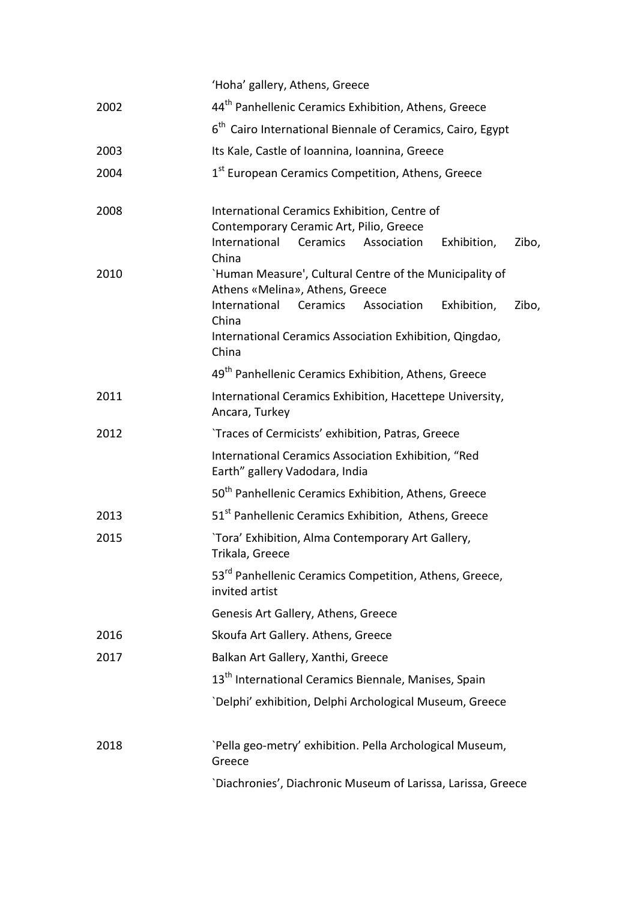|      | 'Hoha' gallery, Athens, Greece                                                                                                                                                                                                              |  |
|------|---------------------------------------------------------------------------------------------------------------------------------------------------------------------------------------------------------------------------------------------|--|
| 2002 | 44 <sup>th</sup> Panhellenic Ceramics Exhibition, Athens, Greece                                                                                                                                                                            |  |
|      | 6 <sup>th</sup> Cairo International Biennale of Ceramics, Cairo, Egypt                                                                                                                                                                      |  |
| 2003 | Its Kale, Castle of Ioannina, Ioannina, Greece                                                                                                                                                                                              |  |
| 2004 | 1 <sup>st</sup> European Ceramics Competition, Athens, Greece                                                                                                                                                                               |  |
| 2008 | International Ceramics Exhibition, Centre of<br>Contemporary Ceramic Art, Pilio, Greece<br>International<br>Ceramics Association<br>Exhibition,<br>Zibo,<br>China                                                                           |  |
| 2010 | 'Human Measure', Cultural Centre of the Municipality of<br>Athens «Melina», Athens, Greece<br>Zibo,<br>International<br>Ceramics<br>Association<br>Exhibition,<br>China<br>International Ceramics Association Exhibition, Qingdao,<br>China |  |
|      | 49 <sup>th</sup> Panhellenic Ceramics Exhibition, Athens, Greece                                                                                                                                                                            |  |
| 2011 | International Ceramics Exhibition, Hacettepe University,<br>Ancara, Turkey                                                                                                                                                                  |  |
| 2012 | `Traces of Cermicists' exhibition, Patras, Greece                                                                                                                                                                                           |  |
|      | International Ceramics Association Exhibition, "Red<br>Earth" gallery Vadodara, India                                                                                                                                                       |  |
|      | 50 <sup>th</sup> Panhellenic Ceramics Exhibition, Athens, Greece                                                                                                                                                                            |  |
| 2013 | 51 <sup>st</sup> Panhellenic Ceramics Exhibition, Athens, Greece                                                                                                                                                                            |  |
| 2015 | `Tora' Exhibition, Alma Contemporary Art Gallery,<br>Trikala, Greece                                                                                                                                                                        |  |
|      | 53 <sup>rd</sup> Panhellenic Ceramics Competition, Athens, Greece,<br>invited artist                                                                                                                                                        |  |
|      | Genesis Art Gallery, Athens, Greece                                                                                                                                                                                                         |  |
| 2016 | Skoufa Art Gallery. Athens, Greece                                                                                                                                                                                                          |  |
| 2017 | Balkan Art Gallery, Xanthi, Greece                                                                                                                                                                                                          |  |
|      | 13 <sup>th</sup> International Ceramics Biennale, Manises, Spain                                                                                                                                                                            |  |
|      | `Delphi' exhibition, Delphi Archological Museum, Greece                                                                                                                                                                                     |  |
| 2018 | `Pella geo-metry' exhibition. Pella Archological Museum,<br>Greece                                                                                                                                                                          |  |
|      | 'Diachronies', Diachronic Museum of Larissa, Larissa, Greece                                                                                                                                                                                |  |